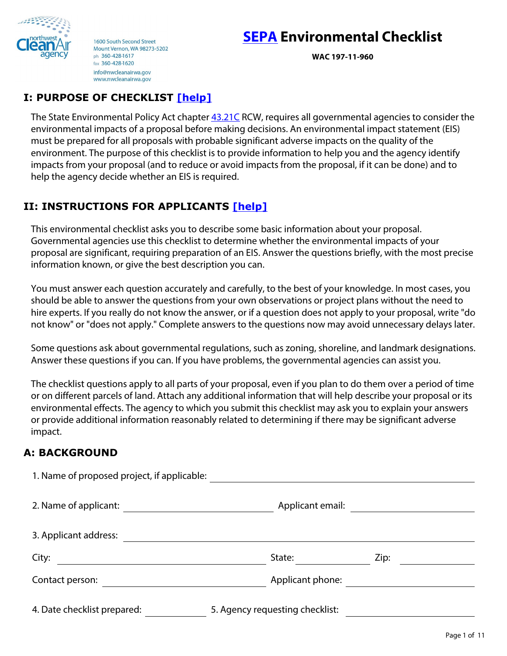

1600 South Second Street Mount Vernon, WA 98273-5202 ph 360-428-1617 fax 360-428-1620 info@nwcleanairwa.gov www.nwcleanairwa.gov

# **[SEPA](http://www.ecy.wa.gov/programs/sea/sepa/e-review.html) Environmental Checklist**

**WAC 197-11-960**

# **I: PURPOSE OF CHECKLIST [\[help\]](http://sepaguidance.epermitting.org/DesktopModules/help.aspx?project=0&node=471)**

The State Environmental Policy Act chapter [43.21C](http://app.leg.wa.gov/RCW/default.aspx?cite=43.21C) RCW, requires all governmental agencies to consider the environmental impacts of a proposal before making decisions. An environmental impact statement (EIS) must be prepared for all proposals with probable significant adverse impacts on the quality of the environment. The purpose of this checklist is to provide information to help you and the agency identify impacts from your proposal (and to reduce or avoid impacts from the proposal, if it can be done) and to help the agency decide whether an EIS is required.

# **II: INSTRUCTIONS FOR APPLICANTS [\[help\]](http://sepaguidance.epermitting.org/DesktopModules/help.aspx?project=0&node=471)**

This environmental checklist asks you to describe some basic information about your proposal. Governmental agencies use this checklist to determine whether the environmental impacts of your proposal are significant, requiring preparation of an EIS. Answer the questions briefly, with the most precise information known, or give the best description you can.

You must answer each question accurately and carefully, to the best of your knowledge. In most cases, you should be able to answer the questions from your own observations or project plans without the need to hire experts. If you really do not know the answer, or if a question does not apply to your proposal, write "do not know" or "does not apply." Complete answers to the questions now may avoid unnecessary delays later.

Some questions ask about governmental regulations, such as zoning, shoreline, and landmark designations. Answer these questions if you can. If you have problems, the governmental agencies can assist you.

The checklist questions apply to all parts of your proposal, even if you plan to do them over a period of time or on different parcels of land. Attach any additional information that will help describe your proposal or its environmental effects. The agency to which you submit this checklist may ask you to explain your answers or provide additional information reasonably related to determining if there may be significant adverse impact.

# **A: BACKGROUND**

| 1. Name of proposed project, if applicable: |                                 |      |
|---------------------------------------------|---------------------------------|------|
| 2. Name of applicant:                       | Applicant email:                |      |
| 3. Applicant address:                       |                                 |      |
| City:                                       | State:                          | Zip: |
| Contact person:                             | Applicant phone:                |      |
| 4. Date checklist prepared:                 | 5. Agency requesting checklist: |      |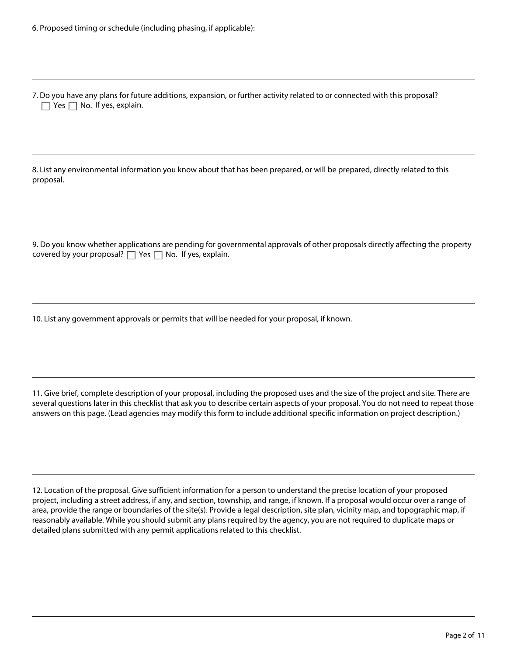7. Do you have any plans for future additions, expansion, or further activity related to or connected with this proposal?  $\Box$  Yes  $\Box$  No. If yes, explain.

8. List any environmental information you know about that has been prepared, or will be prepared, directly related to this proposal.

9. Do you know whether applications are pending for governmental approvals of other proposals directly affecting the property covered by your proposal?  $\Box$  Yes  $\Box$  No. If yes, explain.

10. List any government approvals or permits that will be needed for your proposal, if known.

11. Give brief, complete description of your proposal, including the proposed uses and the size of the project and site. There are several questions later in this checklist that ask you to describe certain aspects of your proposal. You do not need to repeat those answers on this page. (Lead agencies may modify this form to include additional specific information on project description.)

12. Location of the proposal. Give sufficient information for a person to understand the precise location of your proposed project, including a street address, if any, and section, township, and range, if known. If a proposal would occur over a range of area, provide the range or boundaries of the site(s). Provide a legal description, site plan, vicinity map, and topographic map, if reasonably available. While you should submit any plans required by the agency, you are not required to duplicate maps or detailed plans submitted with any permit applications related to this checklist.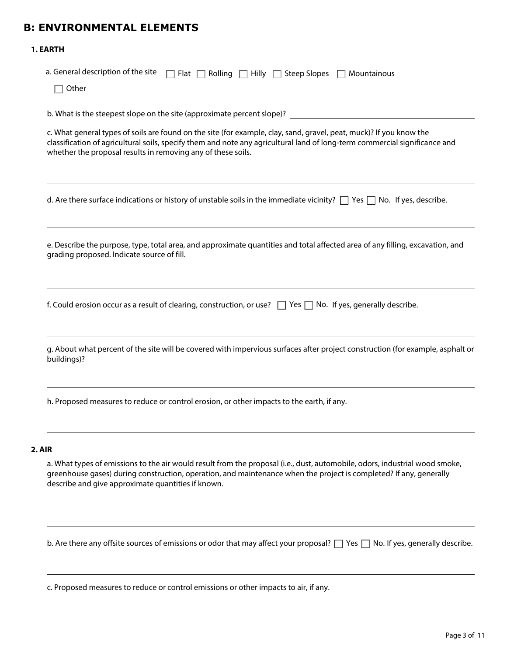# **B: ENVIRONMENTAL ELEMENTS**

## **1. EARTH**

| a. General description of the site<br>$\Box$ Flat $\Box$ Rolling $\Box$ Hilly $\Box$ Steep Slopes $\Box$ Mountainous<br>Other                                                                                                                                                                                     |
|-------------------------------------------------------------------------------------------------------------------------------------------------------------------------------------------------------------------------------------------------------------------------------------------------------------------|
|                                                                                                                                                                                                                                                                                                                   |
| c. What general types of soils are found on the site (for example, clay, sand, gravel, peat, muck)? If you know the<br>classification of agricultural soils, specify them and note any agricultural land of long-term commercial significance and<br>whether the proposal results in removing any of these soils. |
| d. Are there surface indications or history of unstable soils in the immediate vicinity? $\Box$ Yes $\Box$ No. If yes, describe.                                                                                                                                                                                  |
| e. Describe the purpose, type, total area, and approximate quantities and total affected area of any filling, excavation, and<br>grading proposed. Indicate source of fill.                                                                                                                                       |
| f. Could erosion occur as a result of clearing, construction, or use? $\Box$ Yes $\Box$ No. If yes, generally describe.                                                                                                                                                                                           |
| g. About what percent of the site will be covered with impervious surfaces after project construction (for example, asphalt or<br>buildings)?                                                                                                                                                                     |
| h. Proposed measures to reduce or control erosion, or other impacts to the earth, if any.                                                                                                                                                                                                                         |
| 2. AIR                                                                                                                                                                                                                                                                                                            |
| a. What types of emissions to the air would result from the proposal (i.e., dust, automobile, odors, industrial wood smoke,<br>greenhouse gases) during construction, operation, and maintenance when the project is completed? If any, generally<br>describe and give approximate quantities if known.           |
| b. Are there any offsite sources of emissions or odor that may affect your proposal? $\Box$ Yes $\Box$ No. If yes, generally describe.                                                                                                                                                                            |

c. Proposed measures to reduce or control emissions or other impacts to air, if any.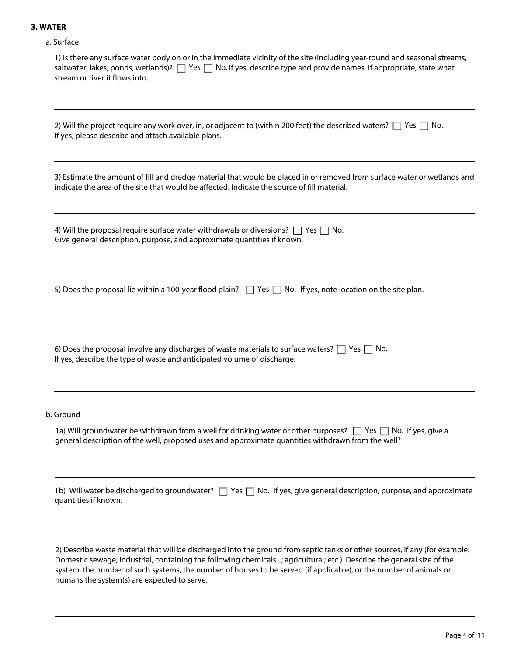# **3. WATER**

#### a. Surface

| 1) Is there any surface water body on or in the immediate vicinity of the site (including year-round and seasonal streams,<br>saltwater, lakes, ponds, wetlands)? $\Box$ Yes $\Box$ No. If yes, describe type and provide names. If appropriate, state what<br>stream or river it flows into. |
|-----------------------------------------------------------------------------------------------------------------------------------------------------------------------------------------------------------------------------------------------------------------------------------------------|
| 2) Will the project require any work over, in, or adjacent to (within 200 feet) the described waters? $\Box$ Yes $\Box$ No.<br>If yes, please describe and attach available plans.                                                                                                            |

3) Estimate the amount of fill and dredge material that would be placed in or removed from surface water or wetlands and indicate the area of the site that would be affected. Indicate the source of fill material.

| 4) Will the proposal require surface water withdrawals or diversions? $\Box$ Yes $\Box$ No. |  |
|---------------------------------------------------------------------------------------------|--|
| Give general description, purpose, and approximate quantities if known.                     |  |

5) Does the proposal lie within a 100-year flood plain?  $\Box$  Yes  $\Box$  No. If yes, note location on the site plan.

| 6) Does the proposal involve any discharges of waste materials to surface waters? $\Box$ Yes $\Box$ No. |
|---------------------------------------------------------------------------------------------------------|
| If yes, describe the type of waste and anticipated volume of discharge.                                 |

b. Ground

| 1a) Will groundwater be withdrawn from a well for drinking water or other purposes? $\Box$ Yes $\Box$ No. If yes, give a |  |
|--------------------------------------------------------------------------------------------------------------------------|--|
| general description of the well, proposed uses and approximate quantities withdrawn from the well?                       |  |

| 1b) Will water be discharged to groundwater?   Yes   No. If yes, give general description, purpose, and approximate |  |  |
|---------------------------------------------------------------------------------------------------------------------|--|--|
| quantities if known.                                                                                                |  |  |

2) Describe waste material that will be discharged into the ground from septic tanks or other sources, if any (for example: Domestic sewage; industrial, containing the following chemicals...; agricultural; etc.). Describe the general size of the system, the number of such systems, the number of houses to be served (if applicable), or the number of animals or humans the system(s) are expected to serve.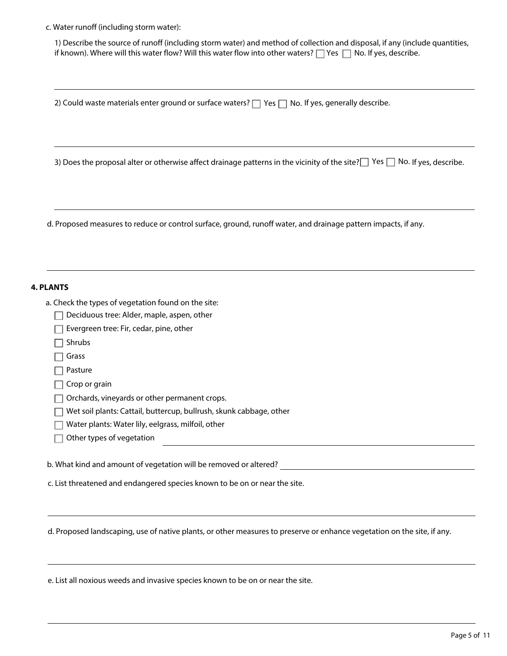c. Water runoff (including storm water):

1) Describe the source of runoff (including storm water) and method of collection and disposal, if any (include quantities, if known). Where will this water flow? Will this water flow into other waters?  $\Box$  Yes  $\,\Box$  No. If yes, describe.

2) Could waste materials enter ground or surface waters?  $\Box$  Yes  $\Box$  No. If yes, generally describe.

3) Does the proposal alter or otherwise affect drainage patterns in the vicinity of the site? I Yes I No. If yes, describe.

d. Proposed measures to reduce or control surface, ground, runoff water, and drainage pattern impacts, if any.

### **4. PLANTS**

|  | a. Check the types of vegetation found on the site: |  |  |
|--|-----------------------------------------------------|--|--|
|  |                                                     |  |  |

Deciduous tree: Alder, maple, aspen, other

 $\Box$  Evergreen tree: Fir, cedar, pine, other

- $\Box$  Shrubs
- $\Box$  Grass

| asturc |
|--------|
|--------|

 $\Box$  Crop or grain

 $\Box$  Orchards, vineyards or other permanent crops.

 $\Box$  Wet soil plants: Cattail, buttercup, bullrush, skunk cabbage, other

- Water plants: Water lily, eelgrass, milfoil, other
- $\Box$  Other types of vegetation

b. What kind and amount of vegetation will be removed or altered?

c. List threatened and endangered species known to be on or near the site.

d. Proposed landscaping, use of native plants, or other measures to preserve or enhance vegetation on the site, if any.

e. List all noxious weeds and invasive species known to be on or near the site.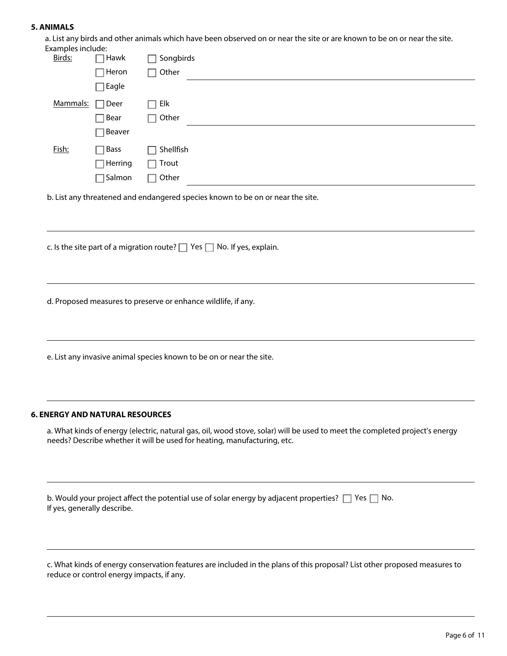## **5. ANIMALS**

a. List any birds and other animals which have been observed on or near the site or are known to be on or near the site. Examples include:

| Birds:   | $\sqcap$ Hawk  | Songbirds                  |
|----------|----------------|----------------------------|
|          | $\Box$ Heron   | Other<br>그                 |
|          | $\Box$ Eagle   |                            |
| Mammals: | Deer           | Elk<br>×.                  |
|          | $\Box$ Bear    | Other<br>×.                |
|          | $\Box$ Beaver  |                            |
| Fish:    | $\Box$ Bass    | Shellfish<br>$\mathcal{A}$ |
|          | $\Box$ Herring | Trout<br>$\mathbf{I}$      |
|          | $\Box$ Salmon  | Other<br>×.                |

b. List any threatened and endangered species known to be on or near the site.

c. Is the site part of a migration route?  $\Box$  Yes  $\Box$  No. If yes, explain.

d. Proposed measures to preserve or enhance wildlife, if any.

e. List any invasive animal species known to be on or near the site.

### **6. ENERGY AND NATURAL RESOURCES**

a. What kinds of energy (electric, natural gas, oil, wood stove, solar) will be used to meet the completed project's energy needs? Describe whether it will be used for heating, manufacturing, etc.

| b. Would your project affect the potential use of solar energy by adjacent properties? $\Box$ Yes $\Box$ No. |  |
|--------------------------------------------------------------------------------------------------------------|--|
| If yes, generally describe.                                                                                  |  |

c. What kinds of energy conservation features are included in the plans of this proposal? List other proposed measures to reduce or control energy impacts, if any.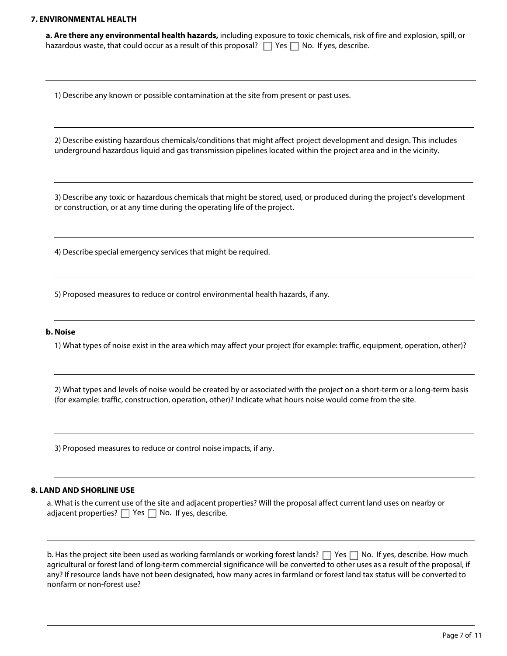#### **7. ENVIRONMENTAL HEALTH**

**a. Are there any environmental health hazards,** including exposure to toxic chemicals, risk of fire and explosion, spill, or hazardous waste, that could occur as a result of this proposal?  $\Box$  Yes  $\Box$  No. If yes, describe.

1) Describe any known or possible contamination at the site from present or past uses.

2) Describe existing hazardous chemicals/conditions that might affect project development and design. This includes underground hazardous liquid and gas transmission pipelines located within the project area and in the vicinity.

3) Describe any toxic or hazardous chemicals that might be stored, used, or produced during the project's development or construction, or at any time during the operating life of the project.

4) Describe special emergency services that might be required.

5) Proposed measures to reduce or control environmental health hazards, if any.

#### **b. Noise**

1) What types of noise exist in the area which may affect your project (for example: traffic, equipment, operation, other)?

2) What types and levels of noise would be created by or associated with the project on a short-term or a long-term basis (for example: traffic, construction, operation, other)? Indicate what hours noise would come from the site.

3) Proposed measures to reduce or control noise impacts, if any.

#### **8. LAND AND SHORLINE USE**

a. What is the current use of the site and adjacent properties? Will the proposal affect current land uses on nearby or adjacent properties?  $\Box$  Yes  $\Box$  No. If yes, describe.

b. Has the project site been used as working farmlands or working forest lands?  $\Box$  Yes  $\Box$  No. If yes, describe. How much agricultural or forest land of long-term commercial significance will be converted to other uses as a result of the proposal, if any? If resource lands have not been designated, how many acres in farmland or forest land tax status will be converted to nonfarm or non-forest use?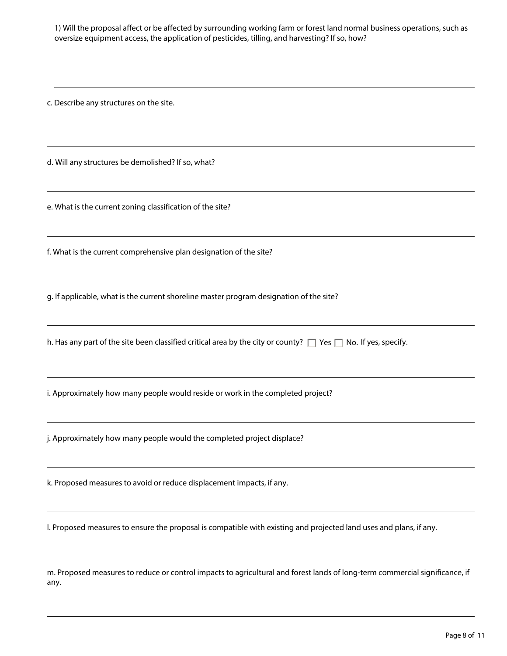1) Will the proposal affect or be affected by surrounding working farm or forest land normal business operations, such as oversize equipment access, the application of pesticides, tilling, and harvesting? If so, how?

c. Describe any structures on the site.

d. Will any structures be demolished? If so, what?

e. What is the current zoning classification of the site?

f. What is the current comprehensive plan designation of the site?

g. If applicable, what is the current shoreline master program designation of the site?

h. Has any part of the site been classified critical area by the city or county?  $\Box$  Yes  $\Box$  No. If yes, specify.

i. Approximately how many people would reside or work in the completed project?

j. Approximately how many people would the completed project displace?

k. Proposed measures to avoid or reduce displacement impacts, if any.

l. Proposed measures to ensure the proposal is compatible with existing and projected land uses and plans, if any.

m. Proposed measures to reduce or control impacts to agricultural and forest lands of long-term commercial significance, if any.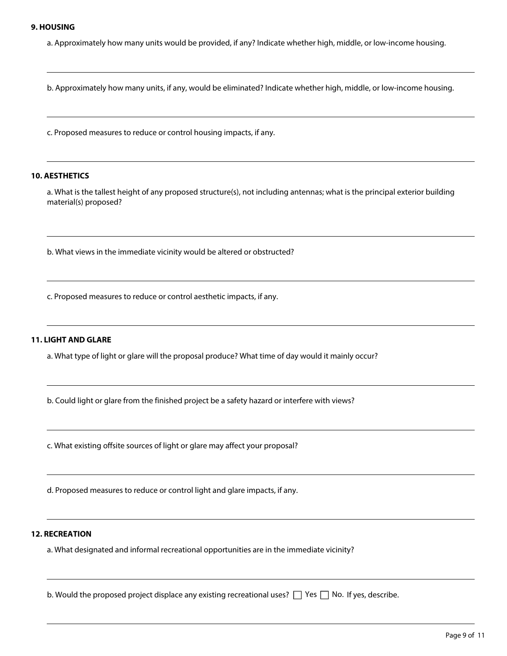#### **9. HOUSING**

a. Approximately how many units would be provided, if any? Indicate whether high, middle, or low-income housing.

b. Approximately how many units, if any, would be eliminated? Indicate whether high, middle, or low-income housing.

c. Proposed measures to reduce or control housing impacts, if any.

#### **10. AESTHETICS**

a. What is the tallest height of any proposed structure(s), not including antennas; what is the principal exterior building material(s) proposed?

b. What views in the immediate vicinity would be altered or obstructed?

c. Proposed measures to reduce or control aesthetic impacts, if any.

### **11. LIGHT AND GLARE**

a. What type of light or glare will the proposal produce? What time of day would it mainly occur?

b. Could light or glare from the finished project be a safety hazard or interfere with views?

c. What existing offsite sources of light or glare may affect your proposal?

d. Proposed measures to reduce or control light and glare impacts, if any.

#### **12. RECREATION**

a. What designated and informal recreational opportunities are in the immediate vicinity?

b. Would the proposed project displace any existing recreational uses?  $\Box$  Yes  $\Box$  No. If yes, describe.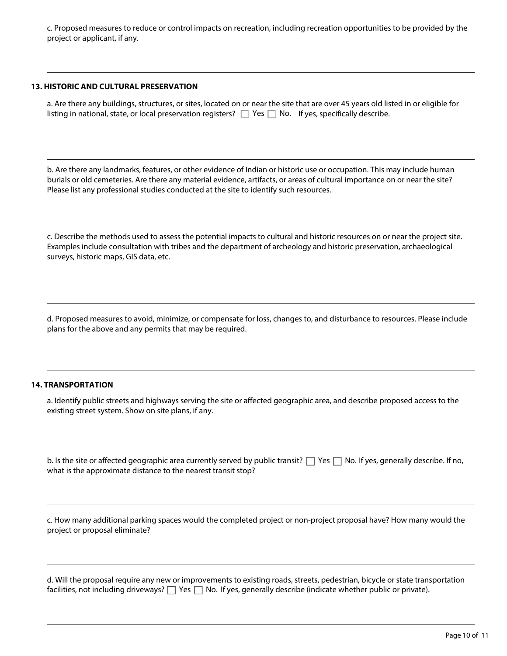c. Proposed measures to reduce or control impacts on recreation, including recreation opportunities to be provided by the project or applicant, if any.

#### **13. HISTORIC AND CULTURAL PRESERVATION**

| a. Are there any buildings, structures, or sites, located on or near the site that are over 45 years old listed in or eligible for |  |  |  |
|------------------------------------------------------------------------------------------------------------------------------------|--|--|--|
| listing in national, state, or local preservation registers? $\Box$ Yes $\Box$ No. If yes, specifically describe.                  |  |  |  |

b. Are there any landmarks, features, or other evidence of Indian or historic use or occupation. This may include human burials or old cemeteries. Are there any material evidence, artifacts, or areas of cultural importance on or near the site? Please list any professional studies conducted at the site to identify such resources.

c. Describe the methods used to assess the potential impacts to cultural and historic resources on or near the project site. Examples include consultation with tribes and the department of archeology and historic preservation, archaeological surveys, historic maps, GIS data, etc.

d. Proposed measures to avoid, minimize, or compensate for loss, changes to, and disturbance to resources. Please include plans for the above and any permits that may be required.

#### **14. TRANSPORTATION**

a. Identify public streets and highways serving the site or affected geographic area, and describe proposed access to the existing street system. Show on site plans, if any.

| b. Is the site or affected geographic area currently served by public transit? $\Box$ Yes $\Box$ No. If yes, generally describe. If no, |
|-----------------------------------------------------------------------------------------------------------------------------------------|
| what is the approximate distance to the nearest transit stop?                                                                           |

c. How many additional parking spaces would the completed project or non-project proposal have? How many would the project or proposal eliminate?

d. Will the proposal require any new or improvements to existing roads, streets, pedestrian, bicycle or state transportation facilities, not including driveways?  $\Box$  Yes  $\Box$  No. If yes, generally describe (indicate whether public or private).